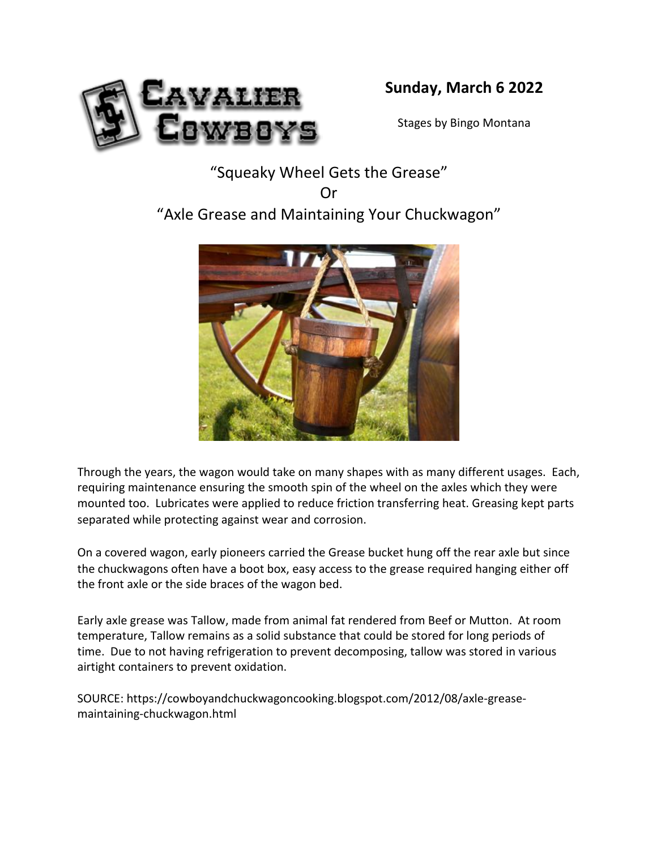

## **Sunday, March 6 2022**

Stages by Bingo Montana

# "Squeaky Wheel Gets the Grease" Or "Axle Grease and Maintaining Your Chuckwagon"



Through the years, the wagon would take on many shapes with as many different usages. Each, requiring maintenance ensuring the smooth spin of the wheel on the axles which they were mounted too. Lubricates were applied to reduce friction transferring heat. Greasing kept parts separated while protecting against wear and corrosion.

On <sup>a</sup> covered wagon, early pioneers carried the Grease bucket hung off the rear axle but since the chuckwagons often have <sup>a</sup> boot box, easy access to the grease required hanging either off the front axle or the side braces of the wagon bed.

Early axle grease was Tallow, made from animal fat rendered from Beef or Mutton. At room temperature, Tallow remains as <sup>a</sup> solid substance that could be stored for long periods of time. Due to not having refrigeration to prevent decomposing, tallow was stored in various airtight containers to prevent oxidation.

SOURCE: https://cowboyandchuckwagoncooking.blogspot.com/2012/08/axle-greasemaintaining-chuckwagon.html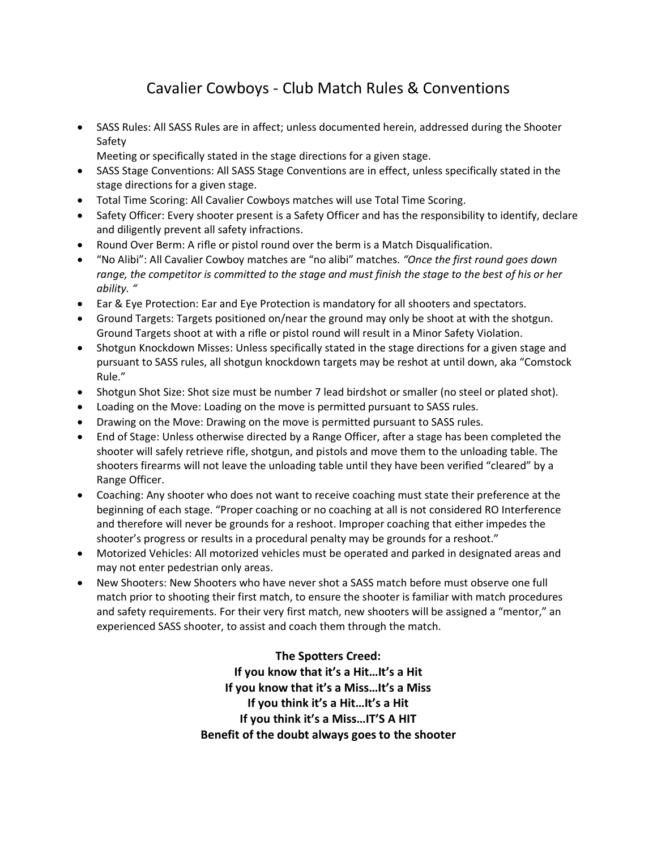## Cavalier Cowboys - Club Match Rules & Conventions

- SASS Rules: All SASS Rules are in affect; unless documented herein, addressed during the Shooter Safety
	- Meeting or specifically stated in the stage directions for a given stage.
- SASS Stage Conventions: All SASS Stage Conventions are in effect, unless specifically stated in the stage directions for a given stage.
- Total Time Scoring: All Cavalier Cowboys matches will use Total Time Scoring.
- Safety Officer: Every shooter present is a Safety Officer and has the responsibility to identify, declare and diligently prevent all safety infractions.
- Round Over Berm: A rifle or pistol round over the berm is a Match Disqualification.
- "No Alibi": All Cavalier Cowboy matches are "no alibi" matches. *"Once the first round goes down range, the competitor is committed to the stage and must finish the stage to the best of his or her ability. "*
- Ear & Eye Protection: Ear and Eye Protection is mandatory for all shooters and spectators.
- Ground Targets: Targets positioned on/near the ground may only be shoot at with the shotgun. Ground Targets shoot at with a rifle or pistol round will result in a Minor Safety Violation.
- Shotgun Knockdown Misses: Unless specifically stated in the stage directions for a given stage and pursuant to SASS rules, all shotgun knockdown targets may be reshot at until down, aka "Comstock Rule."
- Shotgun Shot Size: Shot size must be number 7 lead birdshot or smaller (no steel or plated shot).
- Loading on the Move: Loading on the move is permitted pursuant to SASS rules.
- Drawing on the Move: Drawing on the move is permitted pursuant to SASS rules.
- End of Stage: Unless otherwise directed by a Range Officer, after a stage has been completed the shooter will safely retrieve rifle, shotgun, and pistols and move them to the unloading table. The shooters firearms will not leave the unloading table until they have been verified "cleared" by a Range Officer.
- Coaching: Any shooter who does not want to receive coaching must state their preference at the beginning of each stage. "Proper coaching or no coaching at all is not considered RO Interference and therefore will never be grounds for a reshoot. Improper coaching that either impedes the shooter's progress or results in a procedural penalty may be grounds for a reshoot."
- Motorized Vehicles: All motorized vehicles must be operated and parked in designated areas and may not enter pedestrian only areas.
- New Shooters: New Shooters who have never shot a SASS match before must observe one full match prior to shooting their first match, to ensure the shooter is familiar with match procedures and safety requirements. For their very first match, new shooters will be assigned a "mentor," an experienced SASS shooter, to assist and coach them through the match.

**The Spotters Creed: If you know that it's a Hit…It's a Hit If you know that it's a Miss…It's a Miss If you think it's a Hit…It's a Hit If you think it's a Miss…IT'S A HIT Benefit of the doubt always goes to the shooter**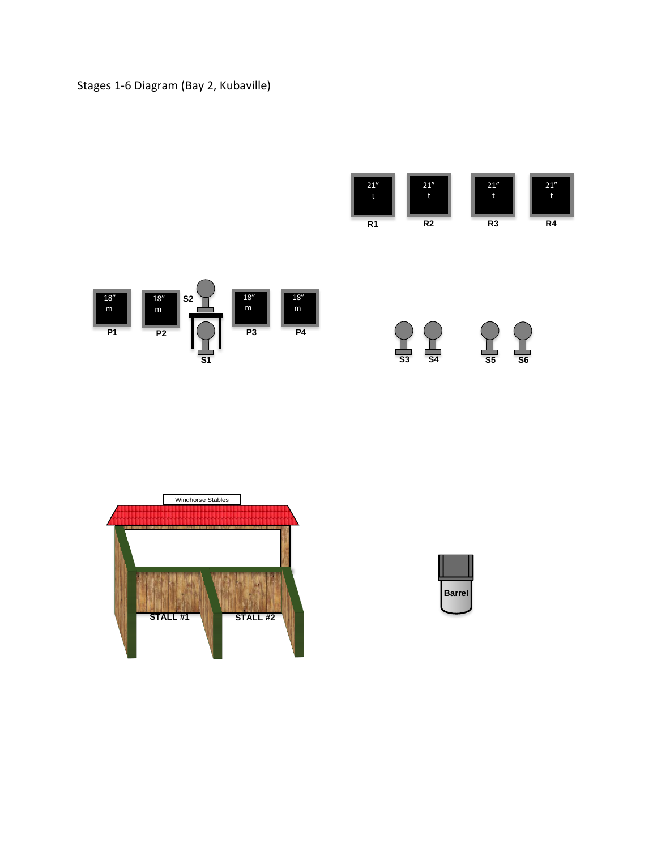#### Stages 1-6 Diagram (Bay 2, Kubaville)









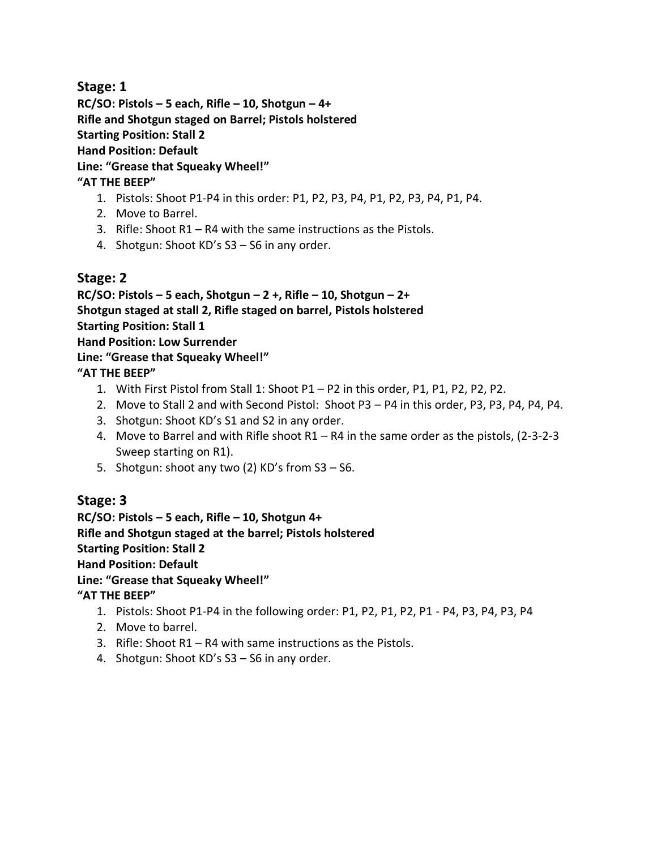**Stage: 1**

**RC/SO: Pistols – 5 each, Rifle – 10, Shotgun – 4+**

**Rifle and Shotgun staged on Barrel; Pistols holstered**

**Starting Position: Stall 2**

**Hand Position: Default**

**Line: "Grease that Squeaky Wheel!"**

#### **"AT THE BEEP"**

- 1. Pistols: Shoot P1-P4 in this order: P1, P2, P3, P4, P1, P2, P3, P4, P1, P4.
- 2. Move to Barrel.
- 3. Rifle: Shoot R1 R4 with the same instructions as the Pistols.
- 4. Shotgun: Shoot KD's S3 S6 in any order.

## **Stage: 2**

**RC/SO: Pistols – 5 each, Shotgun – 2 +, Rifle – 10, Shotgun – 2+ Shotgun staged at stall 2, Rifle staged on barrel, Pistols holstered Starting Position: Stall 1**

**Hand Position: Low Surrender**

#### **Line: "Grease that Squeaky Wheel!"**

**"AT THE BEEP"**

- 1. With First Pistol from Stall 1: Shoot P1 P2 in this order, P1, P1, P2, P2, P2.
- 2. Move to Stall 2 and with Second Pistol: Shoot P3 P4 in this order, P3, P3, P4, P4, P4.
- 3. Shotgun: Shoot KD's S1 and S2 in any order.
- 4. Move to Barrel and with Rifle shoot R1 R4 in the same order as the pistols, (2-3-2-3 Sweep starting on R1).
- 5. Shotgun: shoot any two (2) KD's from S3 S6.

## **Stage: 3**

**RC/SO: Pistols – 5 each, Rifle – 10, Shotgun 4+ Rifle and Shotgun staged at the barrel; Pistols holstered Starting Position: Stall 2 Hand Position: Default Line: "Grease that Squeaky Wheel!" "AT THE BEEP"**

- 1. Pistols: Shoot P1-P4 in the following order: P1, P2, P1, P2, P1 P4, P3, P4, P3, P4
- 2. Move to barrel.
- 3. Rifle: Shoot R1 R4 with same instructions as the Pistols.
- 4. Shotgun: Shoot KD's S3 S6 in any order.